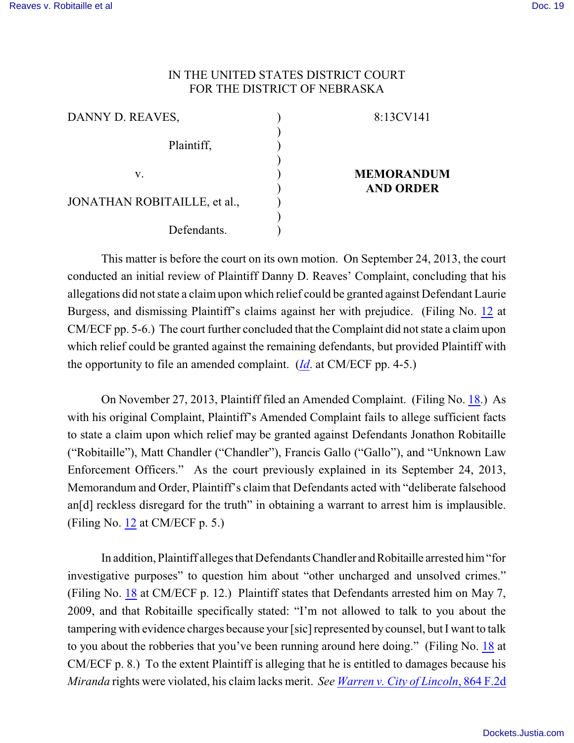## IN THE UNITED STATES DISTRICT COURT FOR THE DISTRICT OF NEBRASKA

| DANNY D. REAVES,             | 8:13CV141                             |
|------------------------------|---------------------------------------|
| Plaintiff,                   |                                       |
| v.                           | <b>MEMORANDUM</b><br><b>AND ORDER</b> |
| JONATHAN ROBITAILLE, et al., |                                       |
| Defendants.                  |                                       |

This matter is before the court on its own motion. On September 24, 2013, the court conducted an initial review of Plaintiff Danny D. Reaves' Complaint, concluding that his allegations did not state a claim upon which relief could be granted against Defendant Laurie Burgess, and dismissing Plaintiff's claims against her with prejudice. (Filing No. [12](https://ecf.ned.uscourts.gov/doc1/11312872363) at CM/ECF pp. 5-6.) The court further concluded that the Complaint did not state a claim upon which relief could be granted against the remaining defendants, but provided Plaintiff with the opportunity to file an amended complaint. (*[Id](https://ecf.ned.uscourts.gov/doc1/11312872363)*. at CM/ECF pp. 4-5.)

On November 27, 2013, Plaintiff filed an Amended Complaint. (Filing No. [18](https://ecf.ned.uscourts.gov/doc1/11312916827).) As with his original Complaint, Plaintiff's Amended Complaint fails to allege sufficient facts to state a claim upon which relief may be granted against Defendants Jonathon Robitaille ("Robitaille"), Matt Chandler ("Chandler"), Francis Gallo ("Gallo"), and "Unknown Law Enforcement Officers." As the court previously explained in its September 24, 2013, Memorandum and Order, Plaintiff's claim that Defendants acted with "deliberate falsehood an[d] reckless disregard for the truth" in obtaining a warrant to arrest him is implausible. (Filing No. [12](https://ecf.ned.uscourts.gov/doc1/11312872363) at CM/ECF p. 5.)

In addition, Plaintiff alleges that Defendants Chandler and Robitaille arrested him "for investigative purposes" to question him about "other uncharged and unsolved crimes." (Filing No. [18](https://ecf.ned.uscourts.gov/doc1/11312916827) at CM/ECF p. 12.) Plaintiff states that Defendants arrested him on May 7, 2009, and that Robitaille specifically stated: "I'm not allowed to talk to you about the tampering with evidence charges because your [sic] represented by counsel, but I want to talk to you about the robberies that you've been running around here doing." (Filing No. [18](https://ecf.ned.uscourts.gov/doc1/11312916827) at CM/ECF p. 8.) To the extent Plaintiff is alleging that he is entitled to damages because his *Miranda* rights were violated, his claim lacks merit. *See [Warren v. City of Lincoln](https://web2.westlaw.com/find/default.wl?cite=864+F.2d+1442&rs=WLW14.04&vr=2.0&rp=%2ffind%2fdefault.wl&sv=Split&fn=_top&mt=Westlaw)*, 864 F.2d